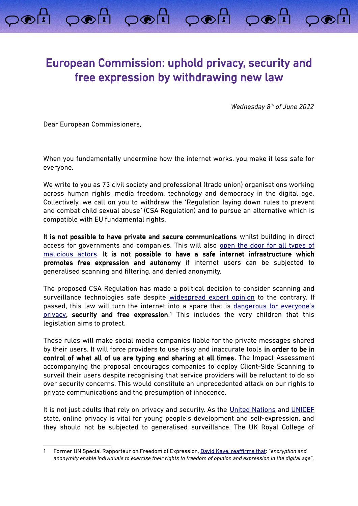## European Commission: uphold privacy, security and free expression by withdrawing new law

poi poi poi poi

*Wednesday 8th of June 2022*

Dear European Commissioners,

When you fundamentally undermine how the internet works, you make it less safe for everyone.

We write to you as 73 civil society and professional (trade union) organisations working across human rights, media freedom, technology and democracy in the digital age. Collectively, we call on you to withdraw the 'Regulation laying down rules to prevent and combat child sexual abuse*'* (CSA Regulation) and to pursue an alternative which is compatible with EU fundamental rights.

It is not possible to have private and secure communications whilst building in direct access for governments and companies. This will also [open the door for all types of](https://arxiv.org/abs/2110.07450) [malicious actors.](https://arxiv.org/abs/2110.07450) It is not possible to have a safe internet infrastructure which promotes free expression and autonomy if internet users can be subjected to generalised scanning and filtering, and denied anonymity.

The proposed CSA Regulation has made a political decision to consider scanning and surveillance technologies safe despite [widespread expert opinion](https://www.globalencryption.org/2022/05/joint-statement-on-the-dangers-of-the-eus-proposed-regulation-for-fighting-child-sexual-abuse-online/) to the contrary. If passed, this law will turn the internet into a space that is [dangerous for everyone's](https://europeanlawblog.eu/2022/06/07/does-monitoring-your-phone-affect-the-essence-of-privacy/) [privacy,](https://europeanlawblog.eu/2022/06/07/does-monitoring-your-phone-affect-the-essence-of-privacy/) security and free expression.<sup>[1](#page-0-0)</sup> This includes the very children that this legislation aims to protect.

These rules will make social media companies liable for the private messages shared by their users. It will force providers to use risky and inaccurate tools in order to be in control of what all of us are typing and sharing at all times. The Impact Assessment accompanying the proposal encourages companies to deploy Client-Side Scanning to surveil their users despite recognising that service providers will be reluctant to do so over security concerns. This would constitute an unprecedented attack on our rights to private communications and the presumption of innocence.

It is not just adults that rely on privacy and security. As the [United Nations](https://www.ohchr.org/en/documents/general-comments-and-recommendations/general-comment-no-25-2021-childrens-rights-relation) and [UNICEF](https://sites.unicef.org/csr/files/UNICEF_Childrens_Online_Privacy_and_Freedom_of_Expression(1).pdf) state, online privacy is vital for young people's development and self-expression, and they should not be subjected to generalised surveillance. The UK Royal College of

<span id="page-0-0"></span><sup>1</sup> Former UN Special Rapporteur on Freedom of Expression, [David Kaye,](https://digitallibrary.un.org/record/798709?ln=en) reaffirms that: "*encryption and anonymity enable individuals to exercise their rights to freedom of opinion and expression in the digital age*".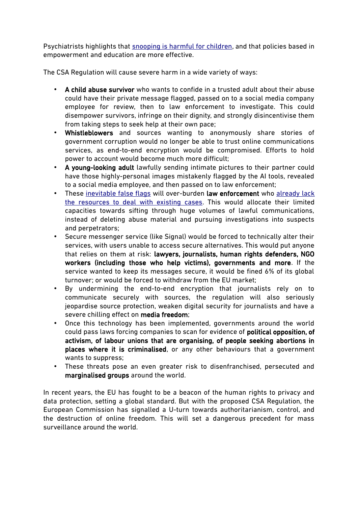Psychiatrists highlights that snooping is harmful for children, and that policies based in empowerment and education are more effective.

The CSA Regulation will cause severe harm in a wide variety of ways:

- A child abuse survivor who wants to confide in a trusted adult about their abuse could have their private message flagged, passed on to a social media company employee for review, then to law enforcement to investigate. This could disempower survivors, infringe on their dignity, and strongly disincentivise them from taking steps to seek help at their own pace;
- Whistleblowers and sources wanting to anonymously share stories of government corruption would no longer be able to trust online communications services, as end-to-end encryption would be compromised. Efforts to hold power to account would become much more difficult;
- A young-looking adult lawfully sending intimate pictures to their partner could have those highly-personal images mistakenly flagged by the AI tools, revealed to a social media employee, and then passed on to law enforcement;
- These [inevitable false flags](https://edri.org/our-work/internal-documents-revealed-the-worst-for-private-communications-in-the-eu-how-will-the-commissioners-respond/) will over-burden law enforcement who [already lack](https://netzpolitik.org/2022/depictions-of-child-abuse-the-internet-forgets-nothing-as-long-as-its-not-supposed-to-forget/)  [the resources to deal with existing cases.](https://netzpolitik.org/2022/depictions-of-child-abuse-the-internet-forgets-nothing-as-long-as-its-not-supposed-to-forget/) This would allocate their limited capacities towards sifting through huge volumes of lawful communications, instead of deleting abuse material and pursuing investigations into suspects and perpetrators;
- Secure messenger service (like Signal) would be forced to technically alter their services, with users unable to access secure alternatives. This would put anyone that relies on them at risk: lawyers, journalists, human rights defenders, NGO workers (including those who help victims), governments and more. If the service wanted to keep its messages secure, it would be fined 6% of its global turnover; or would be forced to withdraw from the EU market;
- By undermining the end-to-end encryption that journalists rely on to communicate securely with sources, the regulation will also seriously jeopardise source protection, weaken digital security for journalists and have a severe chilling effect on media freedom;
- Once this technology has been implemented, governments around the world could pass laws forcing companies to scan for evidence of political opposition, of activism, of labour unions that are organising, of people seeking abortions in places where it is criminalised, or any other behaviours that a government wants to suppress;
- These threats pose an even greater risk to disenfranchised, persecuted and marginalised groups around the world.

In recent years, the EU has fought to be a beacon of the human rights to privacy and data protection, setting a global standard. But with the proposed CSA Regulation, the European Commission has signalled a U-turn towards authoritarianism, control, and the destruction of online freedom. This will set a dangerous precedent for mass surveillance around the world.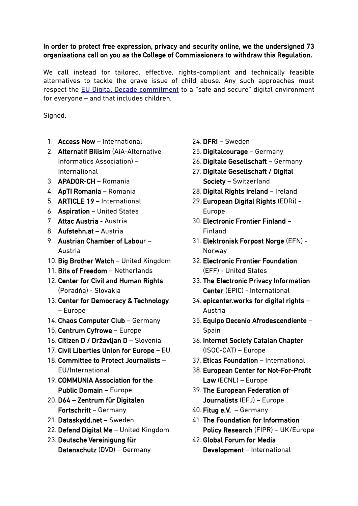## In order to protect free expression, privacy and security online, we the undersigned 73 organisations call on you as the College of Commissioners to withdraw this Regulation.

We call instead for tailored, effective, rights-compliant and technically feasible alternatives to tackle the grave issue of child abuse. Any such approaches must respect the [EU Digital Decade commitment](https://ec.europa.eu/info/strategy/priorities-2019-2024/europe-fit-digital-age/europes-digital-decade-digital-targets-2030_en) to a "safe and secure" digital environment for everyone – and that includes children.

Signed,

- 1. Access Now International
- 2. Alternatif Bilisim (AiA-Alternative Informatics Association) – International
- 3. APADOR-CH Romania
- 4. ApTI Romania Romania
- 5. ARTICLE 19 International
- 6. Aspiration United States
- 7. Attac Austria Austria
- 8. Aufstehn.at Austria
- 9. Austrian Chamber of Labour Austria
- 10. Big Brother Watch United Kingdom
- 11. Bits of Freedom Netherlands
- 12. Center for Civil and Human Rights (Poradňa) - Slovakia
- 13. Center for Democracy & Technology – Europe
- 14. Chaos Computer Club Germany
- 15. Centrum Cyfrowe Europe
- 16. Citizen D / Državljan D Slovenia
- 17. Civil Liberties Union for Europe EU
- 18. Committee to Protect Journalists EU/International
- 19. COMMUNIA Association for the Public Domain – Europe
- 20. D64 Zentrum für Digitalen Fortschritt – Germany
- 21. Dataskydd.net Sweden
- 22. Defend Digital Me United Kingdom
- 23. Deutsche Vereinigung für Datenschutz (DVD) – Germany
- 24. DFRI Sweden
- 25. Digitalcourage Germany
- 26. Digitale Gesellschaft Germany
- 27. Digitale Gesellschaft / Digital Society – Switzerland
- 28. Digital Rights Ireland Ireland
- 29. European Digital Rights (EDRi) Europe
- 30. Electronic Frontier Finland Finland
- 31. Elektronisk Forpost Norge (EFN) Norway
- 32. Electronic Frontier Foundation (EFF) - United States
- 33. The Electronic Privacy Information Center (EPIC) - International
- 34. epicenter.works for digital rights Austria
- 35. Equipo Decenio Afrodescendiente Spain
- 36. Internet Society Catalan Chapter (ISOC-CAT) – Europe
- 37. Eticas Foundation International
- 38. European Center for Not-For-Profit Law (ECNL) – Europe
- 39. The European Federation of Journalists (EFJ) – Europe
- 40. Fitug e.V. Germany
- 41. The Foundation for Information Policy Research (FIPR) – UK/Europe
- 42. Global Forum for Media Development – International